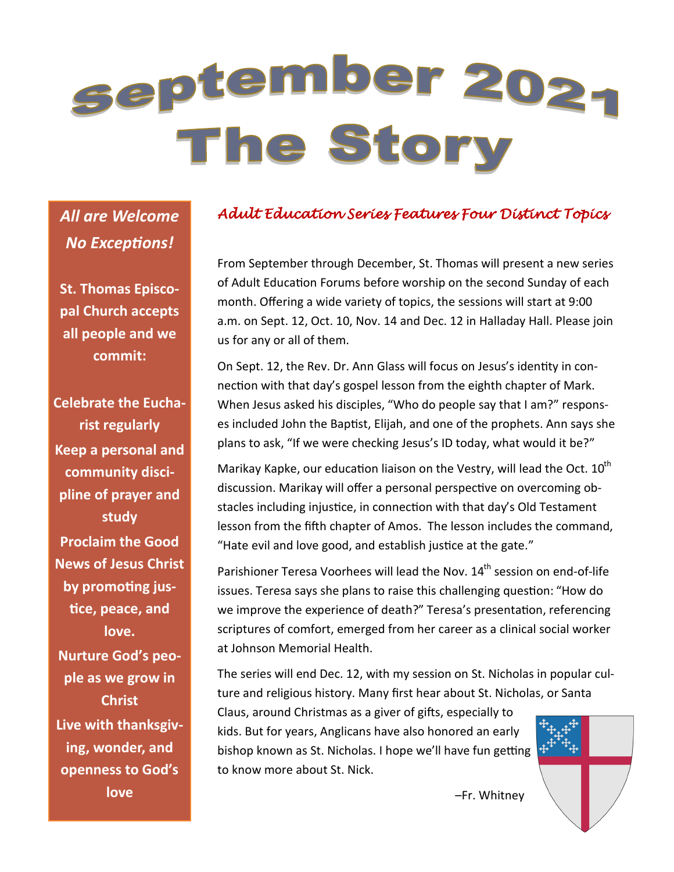# september 2024 The Story

*All are Welcome No Exceptions!*

**St. Thomas Episcopal Church accepts all people and we commit:**

**Celebrate the Eucharist regularly Keep a personal and community discipline of prayer and study Proclaim the Good News of Jesus Christ by promoting justice, peace, and love. Nurture God's people as we grow in Christ Live with thanksgiving, wonder, and openness to God's love**

#### *Adult Education Series Features Four Distinct Topics*

From September through December, St. Thomas will present a new series of Adult Education Forums before worship on the second Sunday of each month. Offering a wide variety of topics, the sessions will start at 9:00 a.m. on Sept. 12, Oct. 10, Nov. 14 and Dec. 12 in Halladay Hall. Please join us for any or all of them.

On Sept. 12, the Rev. Dr. Ann Glass will focus on Jesus's identity in connection with that day's gospel lesson from the eighth chapter of Mark. When Jesus asked his disciples, "Who do people say that I am?" responses included John the Baptist, Elijah, and one of the prophets. Ann says she plans to ask, "If we were checking Jesus's ID today, what would it be?"

Marikay Kapke, our education liaison on the Vestry, will lead the Oct.  $10^{th}$ discussion. Marikay will offer a personal perspective on overcoming obstacles including injustice, in connection with that day's Old Testament lesson from the fifth chapter of Amos. The lesson includes the command, "Hate evil and love good, and establish justice at the gate."

Parishioner Teresa Voorhees will lead the Nov. 14<sup>th</sup> session on end-of-life issues. Teresa says she plans to raise this challenging question: "How do we improve the experience of death?" Teresa's presentation, referencing scriptures of comfort, emerged from her career as a clinical social worker at Johnson Memorial Health.

The series will end Dec. 12, with my session on St. Nicholas in popular culture and religious history. Many first hear about St. Nicholas, or Santa

Claus, around Christmas as a giver of gifts, especially to kids. But for years, Anglicans have also honored an early bishop known as St. Nicholas. I hope we'll have fun getting to know more about St. Nick.



–Fr. Whitney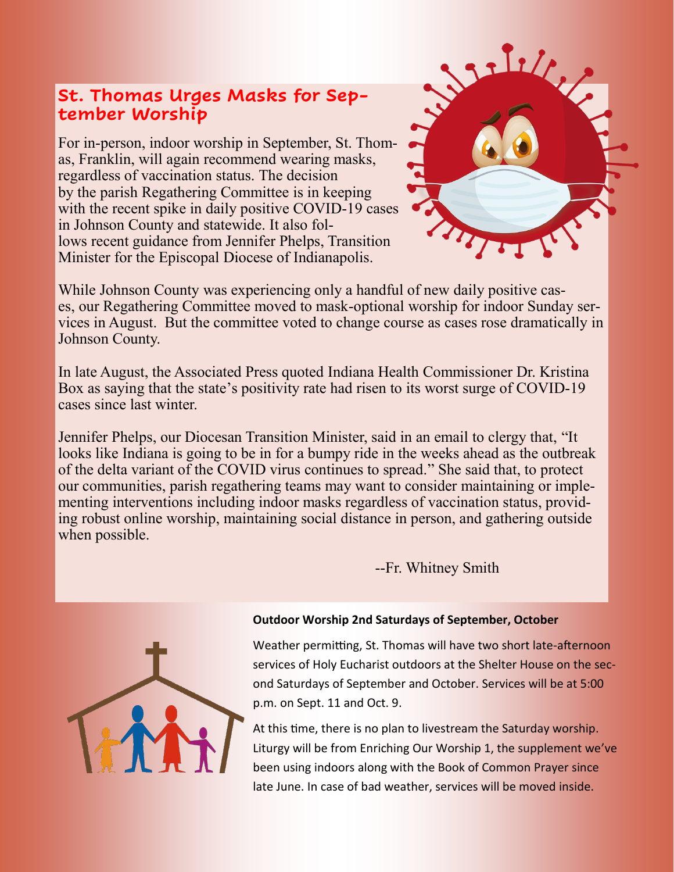#### **St. Thomas Urges Masks for September Worship**

For in-person, indoor worship in September, St. Thomas, Franklin, will again recommend wearing masks, regardless of vaccination status. The decision by the parish Regathering Committee is in keeping with the recent spike in daily positive COVID-19 cases in Johnson County and statewide. It also follows recent guidance from Jennifer Phelps, Transition Minister for the Episcopal Diocese of Indianapolis.



In late August, the Associated Press quoted Indiana Health Commissioner Dr. Kristina Box as saying that the state's positivity rate had risen to its worst surge of COVID-19 cases since last winter.

Jennifer Phelps, our Diocesan Transition Minister, said in an email to clergy that, "It looks like Indiana is going to be in for a bumpy ride in the weeks ahead as the outbreak of the delta variant of the COVID virus continues to spread." She said that, to protect our communities, parish regathering teams may want to consider maintaining or implementing interventions including indoor masks regardless of vaccination status, providing robust online worship, maintaining social distance in person, and gathering outside when possible.

--Fr. Whitney Smith

Sille,



#### **Outdoor Worship 2nd Saturdays of September, October**

Weather permitting, St. Thomas will have two short late-afternoon services of Holy Eucharist outdoors at the Shelter House on the second Saturdays of September and October. Services will be at 5:00 p.m. on Sept. 11 and Oct. 9.

At this time, there is no plan to livestream the Saturday worship. Liturgy will be from Enriching Our Worship 1, the supplement we've been using indoors along with the Book of Common Prayer since late June. In case of bad weather, services will be moved inside.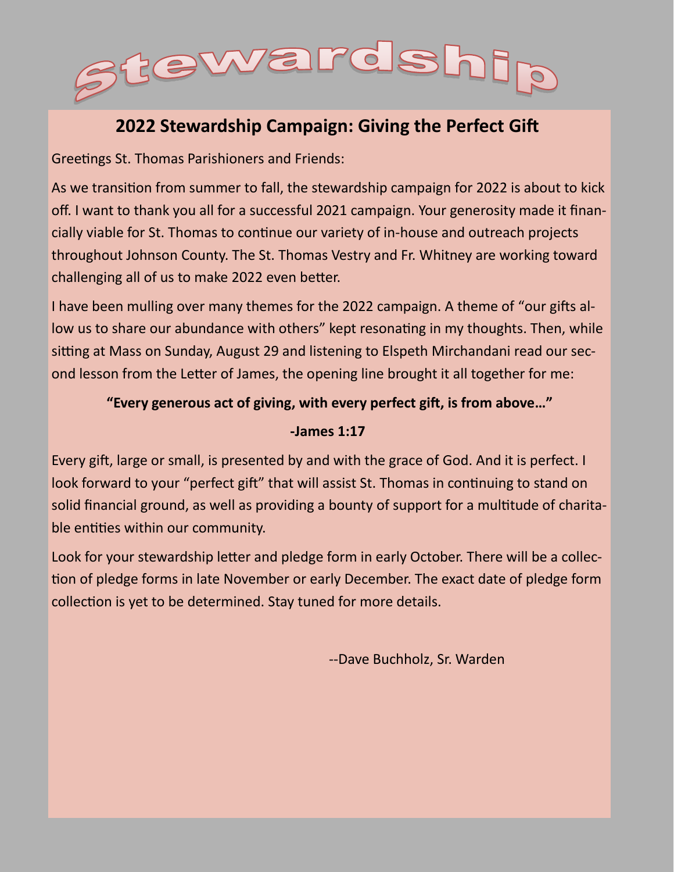

#### **2022 Stewardship Campaign: Giving the Perfect Gift**

Greetings St. Thomas Parishioners and Friends:

As we transition from summer to fall, the stewardship campaign for 2022 is about to kick off. I want to thank you all for a successful 2021 campaign. Your generosity made it financially viable for St. Thomas to continue our variety of in-house and outreach projects throughout Johnson County. The St. Thomas Vestry and Fr. Whitney are working toward challenging all of us to make 2022 even better.

I have been mulling over many themes for the 2022 campaign. A theme of "our gifts allow us to share our abundance with others" kept resonating in my thoughts. Then, while sitting at Mass on Sunday, August 29 and listening to Elspeth Mirchandani read our second lesson from the Letter of James, the opening line brought it all together for me:

#### **"Every generous act of giving, with every perfect gift, is from above…"**

#### **-James 1:17**

Every gift, large or small, is presented by and with the grace of God. And it is perfect. I look forward to your "perfect gift" that will assist St. Thomas in continuing to stand on solid financial ground, as well as providing a bounty of support for a multitude of charitable entities within our community.

Look for your stewardship letter and pledge form in early October. There will be a collection of pledge forms in late November or early December. The exact date of pledge form collection is yet to be determined. Stay tuned for more details.

--Dave Buchholz, Sr. Warden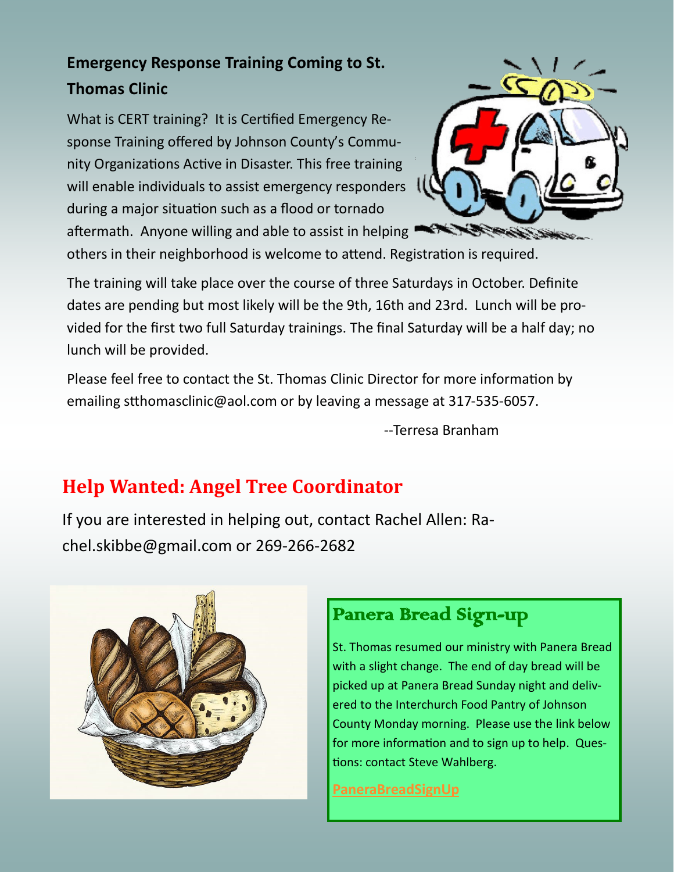## **Emergency Response Training Coming to St. Thomas Clinic**

What is CERT training? It is Certified Emergency Response Training offered by Johnson County's Community Organizations Active in Disaster. This free training will enable individuals to assist emergency responders during a major situation such as a flood or tornado aftermath. Anyone willing and able to assist in helping



others in their neighborhood is welcome to attend. Registration is required.

The training will take place over the course of three Saturdays in October. Definite dates are pending but most likely will be the 9th, 16th and 23rd. Lunch will be provided for the first two full Saturday trainings. The final Saturday will be a half day; no lunch will be provided.

Please feel free to contact the St. Thomas Clinic Director for more information by emailing stthomasclinic@aol.com or by leaving a message at 317-535-6057.

--Terresa Branham

## **Help Wanted: Angel Tree Coordinator**

If you are interested in helping out, contact Rachel Allen: Rachel.skibbe@gmail.com or 269-266-2682



### Panera Bread Sign-up

St. Thomas resumed our ministry with Panera Bread with a slight change. The end of day bread will be picked up at Panera Bread Sunday night and delivered to the Interchurch Food Pantry of Johnson County Monday morning. Please use the link below for more information and to sign up to help. Questions: contact Steve Wahlberg.

**[PaneraBreadSignUp](https://www.signupgenius.com/go/409084BA9A62BA46-panera)**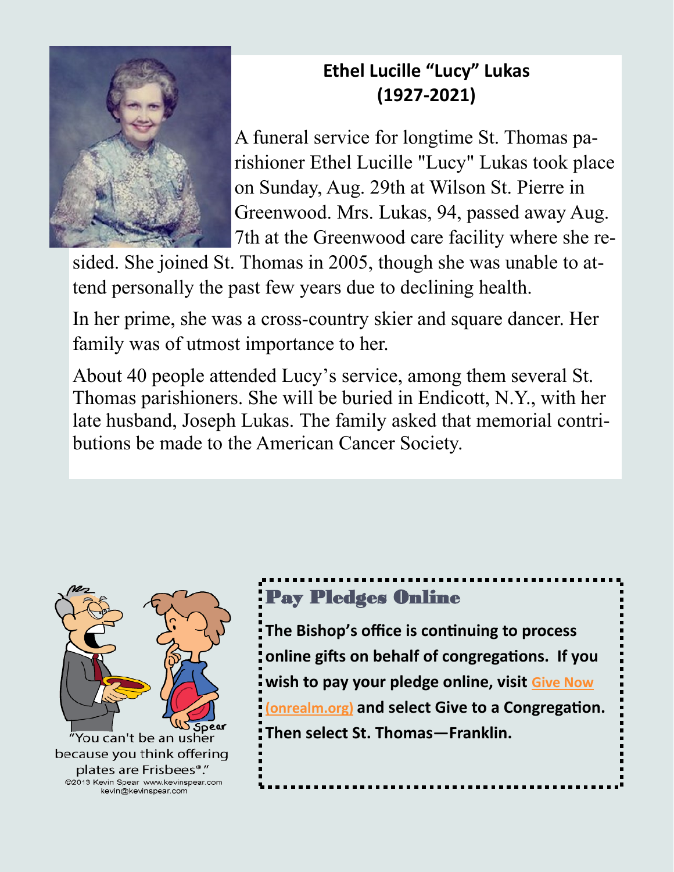

## **Ethel Lucille "Lucy" Lukas (1927-2021)**

A funeral service for longtime St. Thomas parishioner Ethel Lucille "Lucy" Lukas took place on Sunday, Aug. 29th at Wilson St. Pierre in Greenwood. Mrs. Lukas, 94, passed away Aug. 7th at the Greenwood care facility where she re-

sided. She joined St. Thomas in 2005, though she was unable to attend personally the past few years due to declining health.

In her prime, she was a cross-country skier and square dancer. Her family was of utmost importance to her.

About 40 people attended Lucy's service, among them several St. Thomas parishioners. She will be buried in Endicott, N.Y., with her late husband, Joseph Lukas. The family asked that memorial contributions be made to the American Cancer Society.



## Pay Pledges Online

**The Bishop's office is continuing to process online gifts on behalf of congregations. If you wish to pay your pledge online, visit [Give Now](https://onrealm.org/indydio/-/give/covid19)  [\(onrealm.org\)](https://onrealm.org/indydio/-/give/covid19) and select Give to a Congregation. Then select St. Thomas—Franklin.**